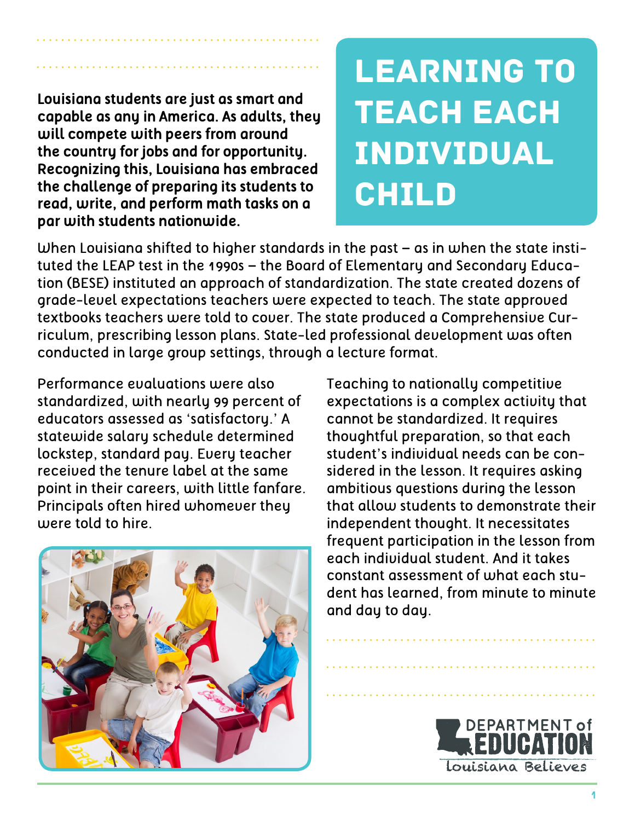Learning to **TEACH EACH** Individual **CHILD** 

When Louisiana shifted to higher standards in the past – as in when the state instituted the LEAP test in the 1990s – the Board of Elementary and Secondary Education (BESE) instituted an approach of standardization. The state created dozens of grade-level expectations teachers were expected to teach. The state approved textbooks teachers were told to cover. The state produced a Comprehensive Curriculum, prescribing lesson plans. State-led professional development was often conducted in large group settings, through a lecture format.

Performance evaluations were also standardized, with nearly 99 percent of educators assessed as 'satisfactory.' A statewide salary schedule determined lockstep, standard pay. Every teacher received the tenure label at the same point in their careers, with little fanfare. Principals often hired whomever they were told to hire.

**Louisiana students are just as smart and capable as any in America. As adults, they** 

**will compete with peers from around the country for jobs and for opportunity. Recognizing this, Louisiana has embraced the challenge of preparing its students to read, write, and perform math tasks on a** 

**par with students nationwide.**



Teaching to nationally competitive expectations is a complex activity that cannot be standardized. It requires thoughtful preparation, so that each student's individual needs can be considered in the lesson. It requires asking ambitious questions during the lesson that allow students to demonstrate their independent thought. It necessitates frequent participation in the lesson from each individual student. And it takes constant assessment of what each student has learned, from minute to minute and day to day.

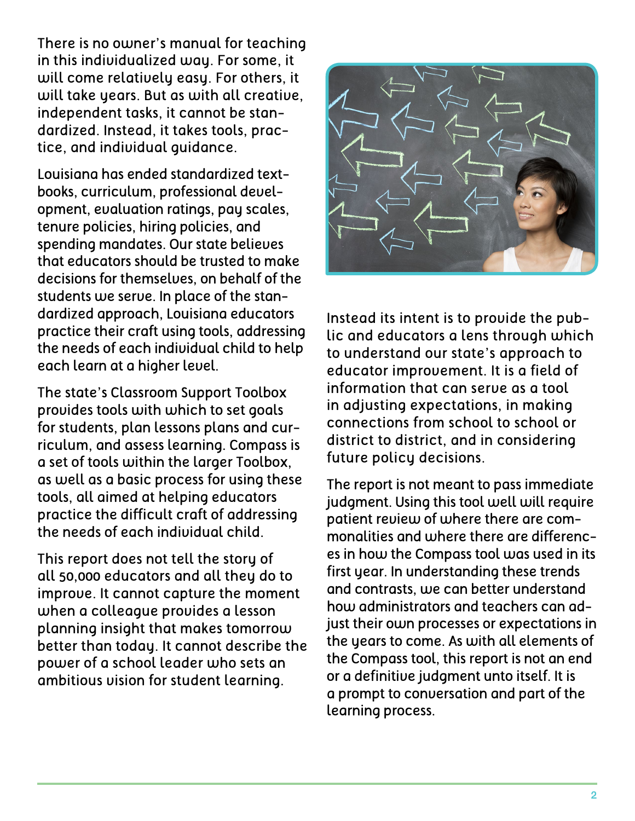There is no owner's manual for teaching in this individualized way. For some, it will come relatively easy. For others, it will take years. But as with all creative, independent tasks, it cannot be standardized. Instead, it takes tools, practice, and individual guidance.

Louisiana has ended standardized textbooks, curriculum, professional development, evaluation ratings, pay scales, tenure policies, hiring policies, and spending mandates. Our state believes that educators should be trusted to make decisions for themselves, on behalf of the students we serve. In place of the standardized approach, Louisiana educators practice their craft using tools, addressing the needs of each individual child to help each learn at a higher level.

The state's Classroom Support Toolbox provides tools with which to set goals for students, plan lessons plans and curriculum, and assess learning. Compass is a set of tools within the larger Toolbox, as well as a basic process for using these tools, all aimed at helping educators practice the difficult craft of addressing the needs of each individual child.

This report does not tell the story of all 50,000 educators and all they do to improve. It cannot capture the moment when a colleague provides a lesson planning insight that makes tomorrow better than today. It cannot describe the power of a school leader who sets an ambitious vision for student learning.



Instead its intent is to provide the public and educators a lens through which to understand our state's approach to educator improvement. It is a field of information that can serve as a tool in adjusting expectations, in making connections from school to school or district to district, and in considering future policy decisions.

The report is not meant to pass immediate judgment. Using this tool well will require patient review of where there are commonalities and where there are differences in how the Compass tool was used in its first year. In understanding these trends and contrasts, we can better understand how administrators and teachers can adjust their own processes or expectations in the years to come. As with all elements of the Compass tool, this report is not an end or a definitive judgment unto itself. It is a prompt to conversation and part of the learning process.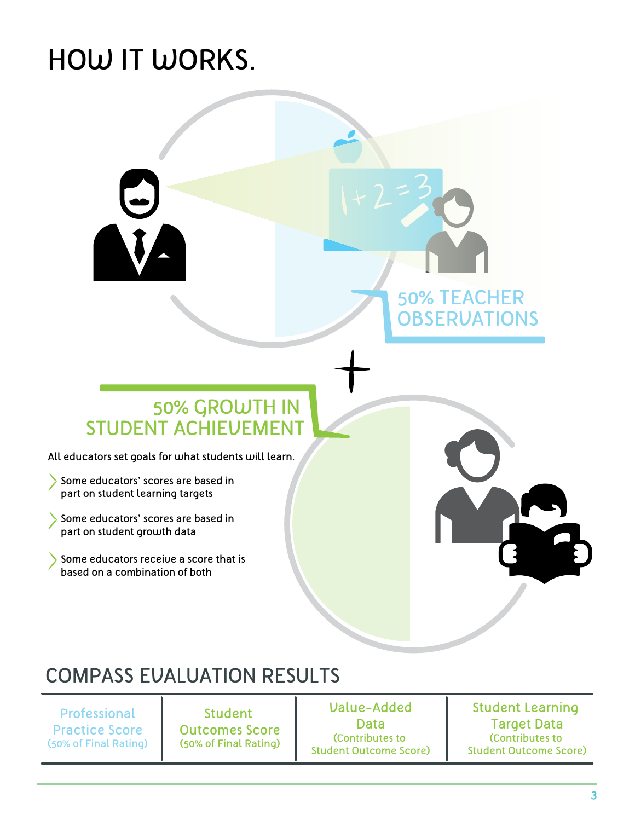# HOW IT WORKS.



## COMPASS EVALUATION RESULTS

Professional Practice Score (50% of Final Rating)

Student Outcomes Score (50% of Final Rating)

Value-Added Data (Contributes to Student Outcome Score)

Student Learning Target Data (Contributes to Student Outcome Score)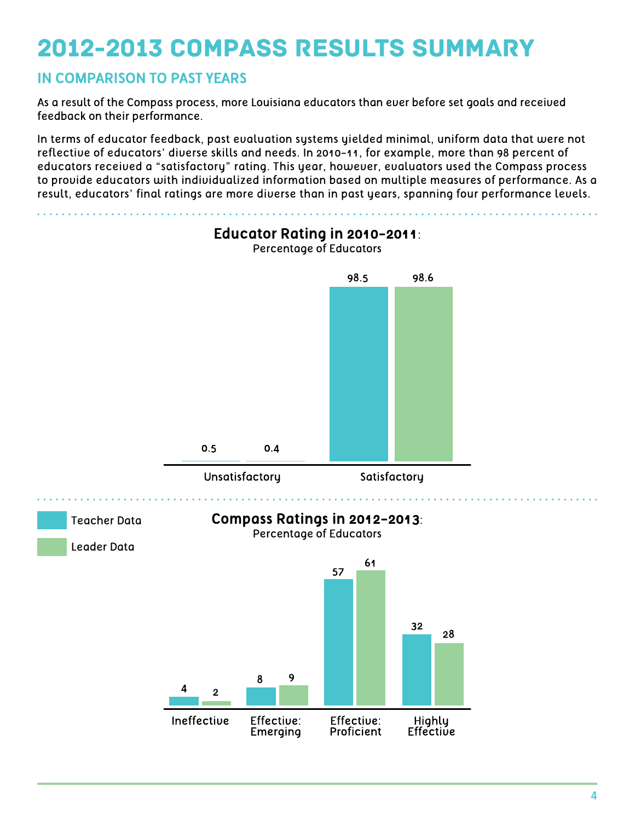## 2012-2013 Compass Results Summary

#### **IN COMPARISON TO PAST YEARS**

As a result of the Compass process, more Louisiana educators than ever before set goals and received feedback on their performance.

In terms of educator feedback, past evaluation systems yielded minimal, uniform data that were not reflective of educators' diverse skills and needs. In 2010-11, for example, more than 98 percent of educators received a "satisfactory" rating. This year, however, evaluators used the Compass process to provide educators with individualized information based on multiple measures of performance. As a result, educators' final ratings are more diverse than in past years, spanning four performance levels.

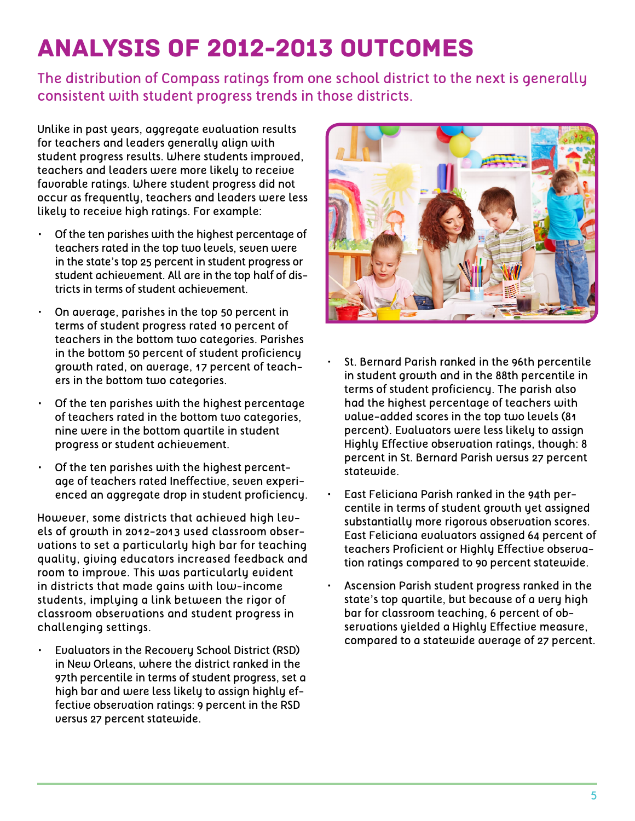## Analysis of 2012-2013 Outcomes

The distribution of Compass ratings from one school district to the next is generally consistent with student progress trends in those districts.

Unlike in past years, aggregate evaluation results for teachers and leaders generally align with student progress results. Where students improved, teachers and leaders were more likely to receive favorable ratings. Where student progress did not occur as frequently, teachers and leaders were less likely to receive high ratings. For example:

- Of the ten parishes with the highest percentage of teachers rated in the top two levels, seven were in the state's top 25 percent in student progress or student achievement. All are in the top half of districts in terms of student achievement.
- On average, parishes in the top 50 percent in terms of student progress rated 10 percent of teachers in the bottom two categories. Parishes in the bottom 50 percent of student proficiency growth rated, on average, 17 percent of teachers in the bottom two categories.
- Of the ten parishes with the highest percentage of teachers rated in the bottom two categories, nine were in the bottom quartile in student progress or student achievement.
- Of the ten parishes with the highest percentage of teachers rated Ineffective, seven experienced an aggregate drop in student proficiency.

However, some districts that achieved high levels of growth in 2012-2013 used classroom observations to set a particularly high bar for teaching quality, giving educators increased feedback and room to improve. This was particularly evident in districts that made gains with low-income students, implying a link between the rigor of classroom observations and student progress in challenging settings.

• Evaluators in the Recovery School District (RSD) in New Orleans, where the district ranked in the 97th percentile in terms of student progress, set a high bar and were less likely to assign highly effective observation ratings: 9 percent in the RSD versus 27 percent statewide.



- St. Bernard Parish ranked in the 96th percentile in student growth and in the 88th percentile in terms of student proficiency. The parish also had the highest percentage of teachers with value-added scores in the top two levels (81 percent). Evaluators were less likely to assign Highly Effective observation ratings, though: 8 percent in St. Bernard Parish versus 27 percent statewide.
- East Feliciana Parish ranked in the 94th percentile in terms of student growth yet assigned substantially more rigorous observation scores. East Feliciana evaluators assigned 64 percent of teachers Proficient or Highly Effective observation ratings compared to 90 percent statewide.
- Ascension Parish student progress ranked in the state's top quartile, but because of a very high bar for classroom teaching, 6 percent of observations yielded a Highly Effective measure, compared to a statewide average of 27 percent.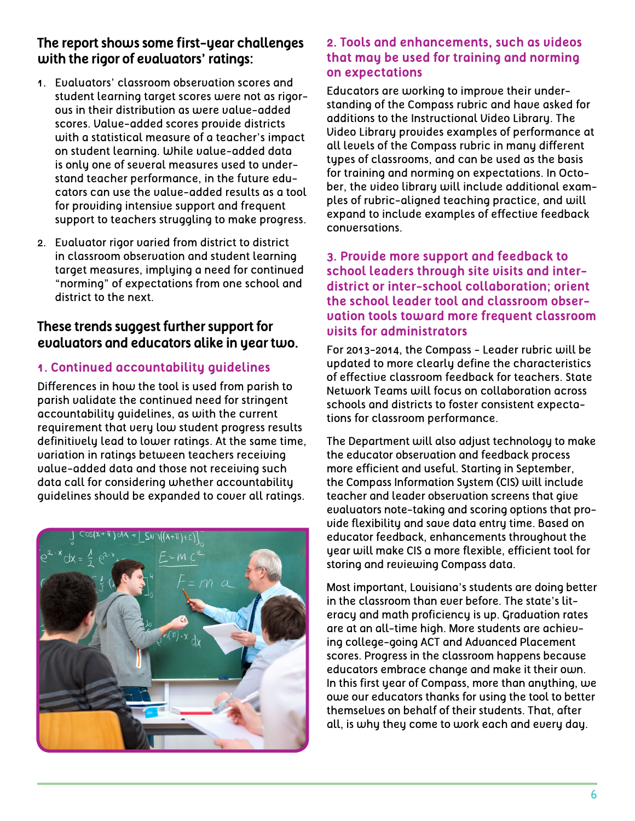#### **The report shows some first-year challenges with the rigor of evaluators' ratings:**

- 1. Evaluators' classroom observation scores and student learning target scores were not as rigorous in their distribution as were value-added scores. Value-added scores provide districts with a statistical measure of a teacher's impact on student learning. While value-added data is only one of several measures used to understand teacher performance, in the future educators can use the value-added results as a tool for providing intensive support and frequent support to teachers struggling to make progress.
- 2. Evaluator rigor varied from district to district in classroom observation and student learning target measures, implying a need for continued "norming" of expectations from one school and district to the next.

#### **These trends suggest further support for evaluators and educators alike in year two.**

#### **1. Continued accountability guidelines**

Differences in how the tool is used from parish to parish validate the continued need for stringent accountability guidelines, as with the current requirement that very low student progress results definitively lead to lower ratings. At the same time, variation in ratings between teachers receiving value-added data and those not receiving such data call for considering whether accountability guidelines should be expanded to cover all ratings.



#### **2. Tools and enhancements, such as videos that may be used for training and norming on expectations**

Educators are working to improve their understanding of the Compass rubric and have asked for additions to the Instructional Video Library. The Video Library provides examples of performance at all levels of the Compass rubric in many different types of classrooms, and can be used as the basis for training and norming on expectations. In October, the video library will include additional examples of rubric-aligned teaching practice, and will expand to include examples of effective feedback conversations.

#### **3. Provide more support and feedback to school leaders through site visits and interdistrict or inter-school collaboration; orient the school leader tool and classroom observation tools toward more frequent classroom visits for administrators**

For 2013-2014, the Compass - Leader rubric will be updated to more clearly define the characteristics of effective classroom feedback for teachers. State Network Teams will focus on collaboration across schools and districts to foster consistent expectations for classroom performance.

The Department will also adjust technology to make the educator observation and feedback process more efficient and useful. Starting in September, the Compass Information System (CIS) will include teacher and leader observation screens that give evaluators note-taking and scoring options that provide flexibility and save data entry time. Based on educator feedback, enhancements throughout the year will make CIS a more flexible, efficient tool for storing and reviewing Compass data.

Most important, Louisiana's students are doing better in the classroom than ever before. The state's literacy and math proficiency is up. Graduation rates are at an all-time high. More students are achieving college-going ACT and Advanced Placement scores. Progress in the classroom happens because educators embrace change and make it their own. In this first year of Compass, more than anything, we owe our educators thanks for using the tool to better themselves on behalf of their students. That, after all, is why they come to work each and every day.